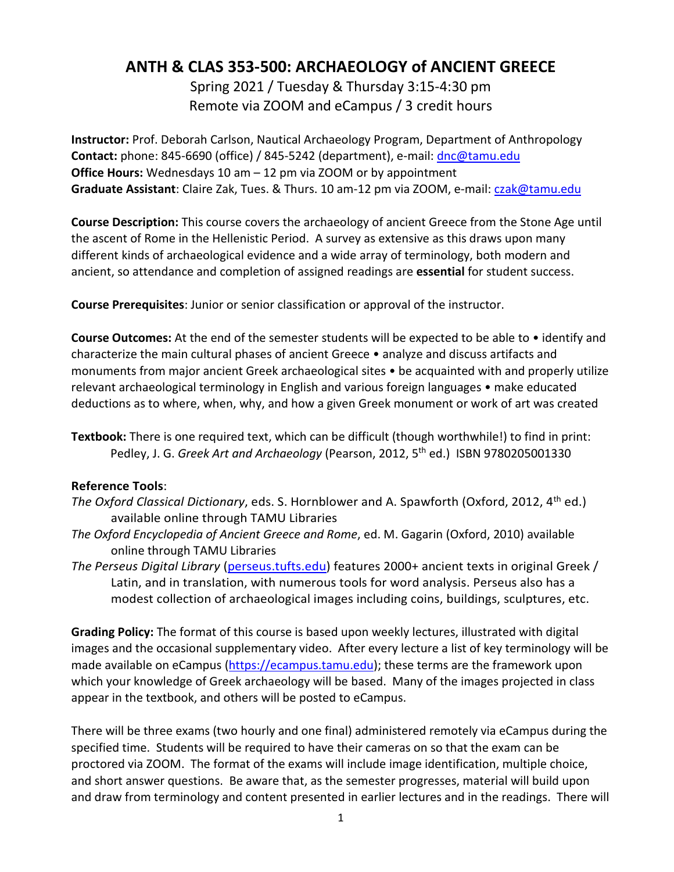## **ANTH & CLAS 353-500: ARCHAEOLOGY of ANCIENT GREECE**

Spring 2021 / Tuesday & Thursday 3:15-4:30 pm Remote via ZOOM and eCampus / 3 credit hours

**Instructor:** Prof. Deborah Carlson, Nautical Archaeology Program, Department of Anthropology **Contact:** phone: 845-6690 (office) / 845-5242 (department), e-mail: [dnc@tamu.edu](mailto:dnc@tamu.edu) **Office Hours:** Wednesdays 10 am – 12 pm via ZOOM or by appointment Graduate Assistant: Claire Zak, Tues. & Thurs. 10 am-12 pm via ZOOM, e-mail: [czak@tamu.edu](mailto:czak@tamu.edu)

**Course Description:** This course covers the archaeology of ancient Greece from the Stone Age until the ascent of Rome in the Hellenistic Period. A survey as extensive as this draws upon many different kinds of archaeological evidence and a wide array of terminology, both modern and ancient, so attendance and completion of assigned readings are **essential** for student success.

**Course Prerequisites**: Junior or senior classification or approval of the instructor.

**Course Outcomes:** At the end of the semester students will be expected to be able to • identify and characterize the main cultural phases of ancient Greece • analyze and discuss artifacts and monuments from major ancient Greek archaeological sites • be acquainted with and properly utilize relevant archaeological terminology in English and various foreign languages • make educated deductions as to where, when, why, and how a given Greek monument or work of art was created

## **Reference Tools**:

- *The Oxford Classical Dictionary*, eds. S. Hornblower and A. Spawforth (Oxford, 2012, 4<sup>th</sup> ed.) available online through TAMU Libraries
- *The Oxford Encyclopedia of Ancient Greece and Rome*, ed. M. Gagarin (Oxford, 2010) available online through TAMU Libraries
- *The Perseus Digital Library* [\(perseus.tufts.edu\)](http://perseus.tufts.edu/) features 2000+ ancient texts in original Greek / Latin, and in translation, with numerous tools for word analysis. Perseus also has a modest collection of archaeological images including coins, buildings, sculptures, etc.

**Grading Policy:** The format of this course is based upon weekly lectures, illustrated with digital images and the occasional supplementary video. After every lecture a list of key terminology will be made available on eCampus [\(https://ecampus.tamu.edu\)](https://ecampus.tamu.edu/); these terms are the framework upon which your knowledge of Greek archaeology will be based. Many of the images projected in class appear in the textbook, and others will be posted to eCampus.

There will be three exams (two hourly and one final) administered remotely via eCampus during the specified time. Students will be required to have their cameras on so that the exam can be proctored via ZOOM. The format of the exams will include image identification, multiple choice, and short answer questions. Be aware that, as the semester progresses, material will build upon and draw from terminology and content presented in earlier lectures and in the readings. There will

**Textbook:** There is one required text, which can be difficult (though worthwhile!) to find in print: Pedley, J. G. *Greek Art and Archaeology* (Pearson, 2012, 5<sup>th</sup> ed.) ISBN 9780205001330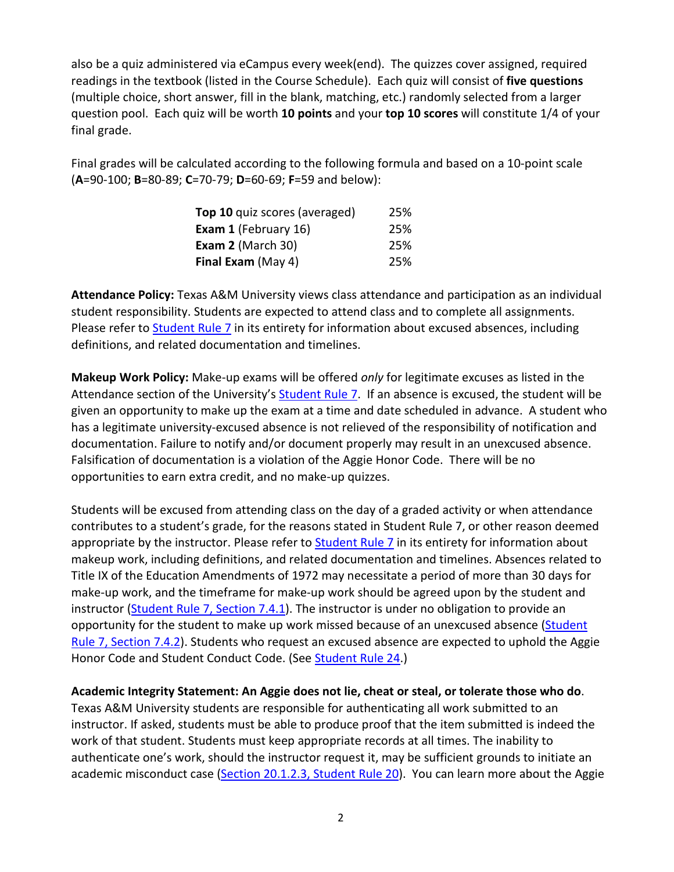also be a quiz administered via eCampus every week(end). The quizzes cover assigned, required readings in the textbook (listed in the Course Schedule). Each quiz will consist of **five questions** (multiple choice, short answer, fill in the blank, matching, etc.) randomly selected from a larger question pool. Each quiz will be worth **10 points** and your **top 10 scores** will constitute 1/4 of your final grade.

Final grades will be calculated according to the following formula and based on a 10-point scale (**A**=90-100; **B**=80-89; **C**=70-79; **D**=60-69; **F**=59 and below):

| Top 10 quiz scores (averaged) | 25% |
|-------------------------------|-----|
| <b>Exam 1 (February 16)</b>   | 25% |
| Exam 2 (March 30)             | 25% |
| <b>Final Exam (May 4)</b>     | 25% |

**Attendance Policy:** Texas A&M University views class attendance and participation as an individual student responsibility. Students are expected to attend class and to complete all assignments. Please refer t[o Student Rule 7](https://student-rules.tamu.edu/rule07/) in its entirety for information about excused absences, including definitions, and related documentation and timelines.

**Makeup Work Policy:** Make-up exams will be offered *only* for legitimate excuses as listed in the Attendance section of the University's [Student Rule](https://student-rules.tamu.edu/rule07/) 7. If an absence is excused, the student will be given an opportunity to make up the exam at a time and date scheduled in advance. A student who has a legitimate university-excused absence is not relieved of the responsibility of notification and documentation. Failure to notify and/or document properly may result in an unexcused absence. Falsification of documentation is a violation of the Aggie Honor Code. There will be no opportunities to earn extra credit, and no make-up quizzes.

Students will be excused from attending class on the day of a graded activity or when attendance contributes to a student's grade, for the reasons stated in Student Rule 7, or other reason deemed appropriate by the instructor. Please refer to [Student Rule 7](https://student-rules.tamu.edu/rule07/) in its entirety for information about makeup work, including definitions, and related documentation and timelines. Absences related to Title IX of the Education Amendments of 1972 may necessitate a period of more than 30 days for make-up work, and the timeframe for make-up work should be agreed upon by the student and instructor [\(Student Rule 7, Section 7.4.1\)](https://student-rules.tamu.edu/rule07). The instructor is under no obligation to provide an opportunity for the student to make up work missed because of an unexcused absence [\(Student](https://student-rules.tamu.edu/rule07)  [Rule 7, Section 7.4.2\)](https://student-rules.tamu.edu/rule07). Students who request an excused absence are expected to uphold the Aggie Honor Code and Student Conduct Code. (See [Student Rule 24.](https://student-rules.tamu.edu/rule24/))

**Academic Integrity Statement: An Aggie does not lie, cheat or steal, or tolerate those who do**.

Texas A&M University students are responsible for authenticating all work submitted to an instructor. If asked, students must be able to produce proof that the item submitted is indeed the work of that student. Students must keep appropriate records at all times. The inability to authenticate one's work, should the instructor request it, may be sufficient grounds to initiate an academic misconduct case [\(Section 20.1.2.3, Student Rule 20\)](https://aggiehonor.tamu.edu/Rules-and-Procedures/Rules/Honor-System-Rules). You can learn more about the Aggie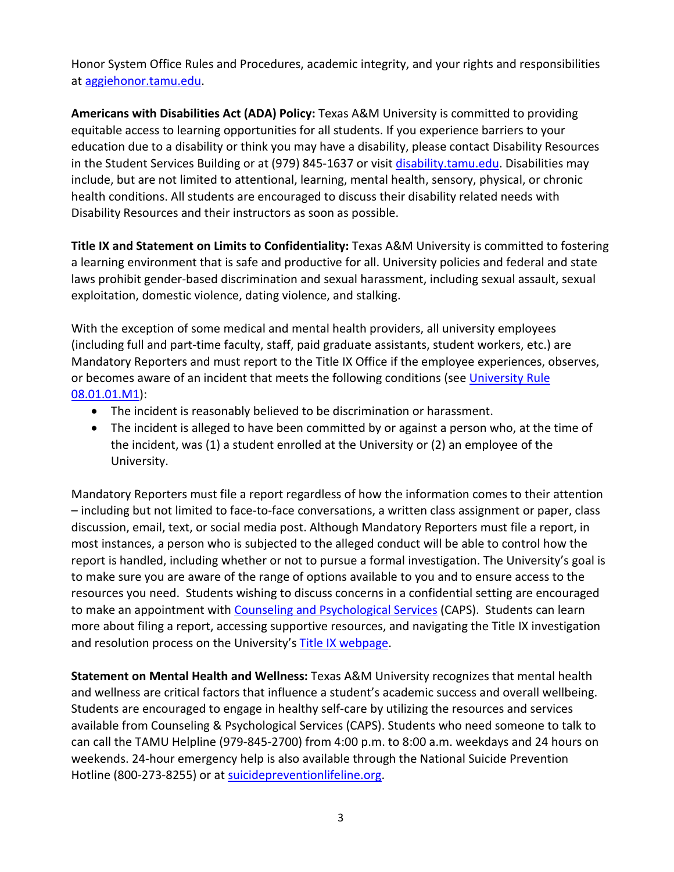Honor System Office Rules and Procedures, academic integrity, and your rights and responsibilities at [aggiehonor.tamu.edu.](https://aggiehonor.tamu.edu/)

**Americans with Disabilities Act (ADA) Policy:** Texas A&M University is committed to providing equitable access to learning opportunities for all students. If you experience barriers to your education due to a disability or think you may have a disability, please contact Disability Resources in the Student Services Building or at (979) 845-1637 or visit [disability.tamu.edu.](https://disability.tamu.edu/) Disabilities may include, but are not limited to attentional, learning, mental health, sensory, physical, or chronic health conditions. All students are encouraged to discuss their disability related needs with Disability Resources and their instructors as soon as possible.

**Title IX and Statement on Limits to Confidentiality:** Texas A&M University is committed to fostering a learning environment that is safe and productive for all. University policies and federal and state laws prohibit gender-based discrimination and sexual harassment, including sexual assault, sexual exploitation, domestic violence, dating violence, and stalking.

With the exception of some medical and mental health providers, all university employees (including full and part-time faculty, staff, paid graduate assistants, student workers, etc.) are Mandatory Reporters and must report to the Title IX Office if the employee experiences, observes, or becomes aware of an incident that meets the following conditions (see University Rule [08.01.01.M1\)](https://rules-saps.tamu.edu/PDFs/08.01.01.M1.pdf):

- The incident is reasonably believed to be discrimination or harassment.
- The incident is alleged to have been committed by or against a person who, at the time of the incident, was (1) a student enrolled at the University or (2) an employee of the University.

Mandatory Reporters must file a report regardless of how the information comes to their attention – including but not limited to face-to-face conversations, a written class assignment or paper, class discussion, email, text, or social media post. Although Mandatory Reporters must file a report, in most instances, a person who is subjected to the alleged conduct will be able to control how the report is handled, including whether or not to pursue a formal investigation. The University's goal is to make sure you are aware of the range of options available to you and to ensure access to the resources you need. Students wishing to discuss concerns in a confidential setting are encouraged to make an appointment with [Counseling and Psychological Services](https://caps.tamu.edu/) (CAPS). Students can learn more about filing a report, accessing supportive resources, and navigating the Title IX investigation and resolution process on the University's [Title IX webpage.](https://titleix.tamu.edu/)

**Statement on Mental Health and Wellness:** Texas A&M University recognizes that mental health and wellness are critical factors that influence a student's academic success and overall wellbeing. Students are encouraged to engage in healthy self-care by utilizing the resources and services available from Counseling & Psychological Services (CAPS). Students who need someone to talk to can call the TAMU Helpline (979-845-2700) from 4:00 p.m. to 8:00 a.m. weekdays and 24 hours on weekends. 24-hour emergency help is also available through the National Suicide Prevention Hotline (800-273-8255) or at [suicidepreventionlifeline.org.](https://suicidepreventionlifeline.org/)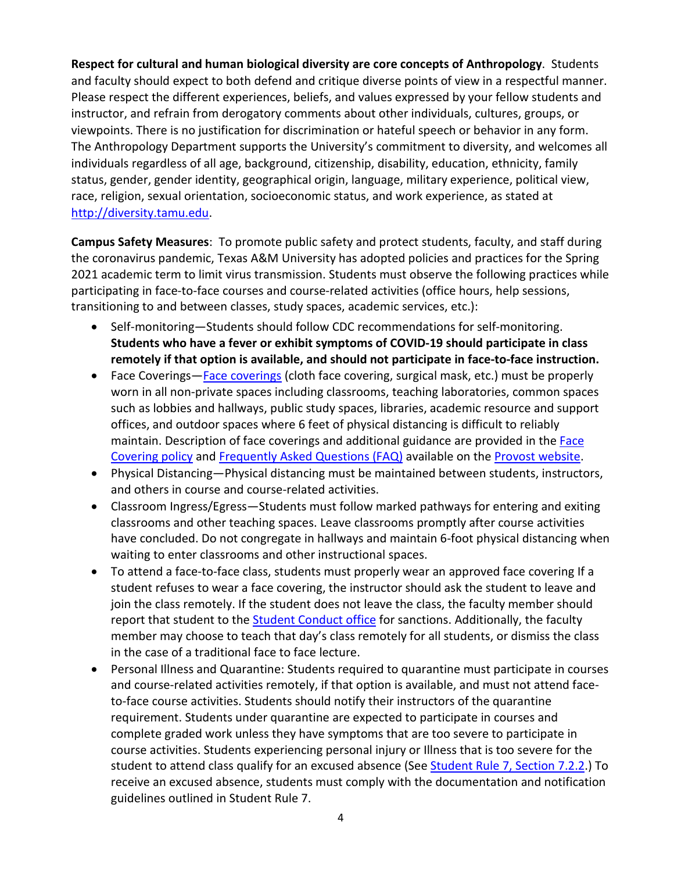**Respect for cultural and human biological diversity are core concepts of Anthropology**. Students and faculty should expect to both defend and critique diverse points of view in a respectful manner. Please respect the different experiences, beliefs, and values expressed by your fellow students and instructor, and refrain from derogatory comments about other individuals, cultures, groups, or viewpoints. There is no justification for discrimination or hateful speech or behavior in any form. The Anthropology Department supports the University's commitment to diversity, and welcomes all individuals regardless of all age, background, citizenship, disability, education, ethnicity, family status, gender, gender identity, geographical origin, language, military experience, political view, race, religion, sexual orientation, socioeconomic status, and work experience, as stated at [http://diversity.tamu.edu.](http://diversity.tamu.edu/)

**Campus Safety Measures**: To promote public safety and protect students, faculty, and staff during the coronavirus pandemic, Texas A&M University has adopted policies and practices for the Spring 2021 academic term to limit virus transmission. Students must observe the following practices while participating in face-to-face courses and course-related activities (office hours, help sessions, transitioning to and between classes, study spaces, academic services, etc.):

- Self-monitoring—Students should follow CDC recommendations for self-monitoring. **Students who have a fever or exhibit symptoms of COVID-19 should participate in class remotely if that option is available, and should not participate in face-to-face instruction.**
- Face Coverings[—Face coverings](https://rules-saps.tamu.edu/PDFs/34.99.99.M0.03.pdf) (cloth face covering, surgical mask, etc.) must be properly worn in all non-private spaces including classrooms, teaching laboratories, common spaces such as lobbies and hallways, public study spaces, libraries, academic resource and support offices, and outdoor spaces where 6 feet of physical distancing is difficult to reliably maintain. Description of face coverings and additional guidance are provided in the [Face](https://rules-saps.tamu.edu/PDFs/34.99.99.M0.03.pdf)  [Covering policy](https://rules-saps.tamu.edu/PDFs/34.99.99.M0.03.pdf) and [Frequently Asked Questions \(FAQ\)](https://provost.tamu.edu/Menu/News/TAMU-Face-Covering-FAQs) available on the [Provost website.](https://provost.tamu.edu/Menu/News/TAMU-Face-Covering-FAQs)
- Physical Distancing—Physical distancing must be maintained between students, instructors, and others in course and course-related activities.
- Classroom Ingress/Egress—Students must follow marked pathways for entering and exiting classrooms and other teaching spaces. Leave classrooms promptly after course activities have concluded. Do not congregate in hallways and maintain 6-foot physical distancing when waiting to enter classrooms and other instructional spaces.
- To attend a face-to-face class, students must properly wear an approved face covering If a student refuses to wear a face covering, the instructor should ask the student to leave and join the class remotely. If the student does not leave the class, the faculty member should report that student to th[e Student Conduct office](https://studentlife.tamu.edu/sco/face-covering-violations/) for sanctions. Additionally, the faculty member may choose to teach that day's class remotely for all students, or dismiss the class in the case of a traditional face to face lecture.
- Personal Illness and Quarantine: Students required to quarantine must participate in courses and course-related activities remotely, if that option is available, and must not attend faceto-face course activities. Students should notify their instructors of the quarantine requirement. Students under quarantine are expected to participate in courses and complete graded work unless they have symptoms that are too severe to participate in course activities. Students experiencing personal injury or Illness that is too severe for the student to attend class qualify for an excused absence (See [Student Rule 7, Section 7.2.2.](https://student-rules.tamu.edu/rule07/)) To receive an excused absence, students must comply with the documentation and notification guidelines outlined in Student Rule 7.